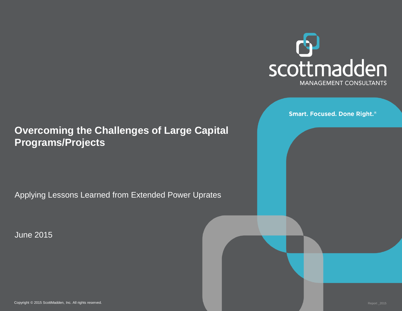

**Smart. Focused. Done Right.**®

#### **Overcoming the Challenges of Large Capital Programs/Projects**

Applying Lessons Learned from Extended Power Uprates

June 2015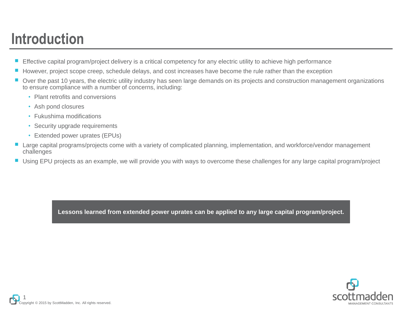## **Introduction**

- Effective capital program/project delivery is a critical competency for any electric utility to achieve high performance
- However, project scope creep, schedule delays, and cost increases have become the rule rather than the exception
- Over the past 10 years, the electric utility industry has seen large demands on its projects and construction management organizations to ensure compliance with a number of concerns, including:
	- Plant retrofits and conversions
	- Ash pond closures
	- Fukushima modifications
	- Security upgrade requirements
	- Extended power uprates (EPUs)
- Large capital programs/projects come with a variety of complicated planning, implementation, and workforce/vendor management challenges
- Using EPU projects as an example, we will provide you with ways to overcome these challenges for any large capital program/project

**Lessons learned from extended power uprates can be applied to any large capital program/project.**

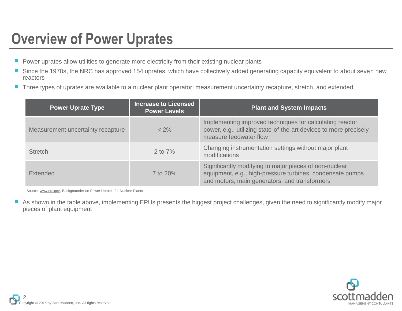### **Overview of Power Uprates**

- Power uprates allow utilities to generate more electricity from their existing nuclear plants
- Since the 1970s, the NRC has approved 154 uprates, which have collectively added generating capacity equivalent to about seven new reactors
- Three types of uprates are available to a nuclear plant operator: measurement uncertainty recapture, stretch, and extended

| <b>Power Uprate Type</b>          | <b>Increase to Licensed</b><br><b>Power Levels</b> | <b>Plant and System Impacts</b>                                                                                                                                      |
|-----------------------------------|----------------------------------------------------|----------------------------------------------------------------------------------------------------------------------------------------------------------------------|
| Measurement uncertainty recapture | $< 2\%$                                            | Implementing improved techniques for calculating reactor<br>power, e.g., utilizing state-of-the-art devices to more precisely<br>measure feedwater flow              |
| <b>Stretch</b>                    | 2 to $7\%$                                         | Changing instrumentation settings without major plant<br>modifications                                                                                               |
| <b>Extended</b>                   | 7 to $20\%$                                        | Significantly modifying to major pieces of non-nuclear<br>equipment, e.g., high-pressure turbines, condensate pumps<br>and motors, main generators, and transformers |

Source: [www.nrc.gov,](http://www.nrc.gov/) Backgrounder on Power Uprates for Nuclear Plants

■ As shown in the table above, implementing EPUs presents the biggest project challenges, given the need to significantly modify major pieces of plant equipment

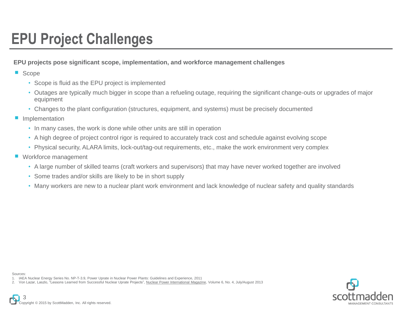## **EPU Project Challenges**

#### **EPU projects pose significant scope, implementation, and workforce management challenges**

■ Scope

- Scope is fluid as the EPU project is implemented
- Outages are typically much bigger in scope than a refueling outage, requiring the significant change-outs or upgrades of major equipment
- Changes to the plant configuration (structures, equipment, and systems) must be precisely documented
- Implementation
	- In many cases, the work is done while other units are still in operation
	- A high degree of project control rigor is required to accurately track cost and schedule against evolving scope
	- Physical security, ALARA limits, lock-out/tag-out requirements, etc., make the work environment very complex
- Workforce management
	- A large number of skilled teams (craft workers and supervisors) that may have never worked together are involved
	- Some trades and/or skills are likely to be in short supply
	- Many workers are new to a nuclear plant work environment and lack knowledge of nuclear safety and quality standards

Sources:

2. Von Lazar, Laszlo, "Lessons Learned from Successful Nuclear Uprate Projects", Nuclear Power International Magazine, Volume 6, No. 4, July/August 2013



<sup>1.</sup> IAEA Nuclear Energy Series No. NP-T-3.9, Power Uprate in Nuclear Power Plants: Guidelines and Experience, 2011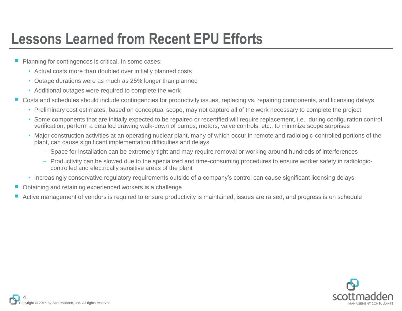### **Lessons Learned from Recent EPU Efforts**

- Planning for contingences is critical. In some cases:
	- Actual costs more than doubled over initially planned costs
	- Outage durations were as much as 25% longer than planned
	- Additional outages were required to complete the work
- Costs and schedules should include contingencies for productivity issues, replacing vs. repairing components, and licensing delays
	- Preliminary cost estimates, based on conceptual scope, may not capture all of the work necessary to complete the project
	- Some components that are initially expected to be repaired or recertified will require replacement, i.e., during configuration control verification, perform a detailed drawing walk-down of pumps, motors, valve controls, etc., to minimize scope surprises
	- Major construction activities at an operating nuclear plant, many of which occur in remote and radiologic-controlled portions of the plant, can cause significant implementation difficulties and delays
		- Space for installation can be extremely tight and may require removal or working around hundreds of interferences
		- Productivity can be slowed due to the specialized and time-consuming procedures to ensure worker safety in radiologiccontrolled and electrically sensitive areas of the plant
	- Increasingly conservative regulatory requirements outside of a company's control can cause significant licensing delays
- Obtaining and retaining experienced workers is a challenge
- Active management of vendors is required to ensure productivity is maintained, issues are raised, and progress is on schedule

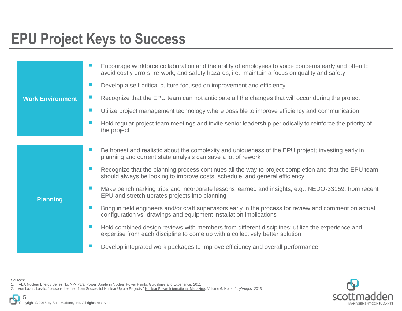### **EPU Project Keys to Success**

|                         | Encourage workforce collaboration and the ability of employees to voice concerns early and often to<br>avoid costly errors, re-work, and safety hazards, i.e., maintain a focus on quality and safety |
|-------------------------|-------------------------------------------------------------------------------------------------------------------------------------------------------------------------------------------------------|
| <b>Work Environment</b> | Develop a self-critical culture focused on improvement and efficiency                                                                                                                                 |
|                         | Recognize that the EPU team can not anticipate all the changes that will occur during the project<br>ш                                                                                                |
|                         | m.<br>Utilize project management technology where possible to improve efficiency and communication                                                                                                    |
|                         | Hold regular project team meetings and invite senior leadership periodically to reinforce the priority of<br>the project                                                                              |
|                         |                                                                                                                                                                                                       |
| <b>Planning</b>         | Be honest and realistic about the complexity and uniqueness of the EPU project; investing early in<br>ш<br>planning and current state analysis can save a lot of rework                               |
|                         | Recognize that the planning process continues all the way to project completion and that the EPU team<br>should always be looking to improve costs, schedule, and general efficiency                  |
|                         | ш<br>Make benchmarking trips and incorporate lessons learned and insights, e.g., NEDO-33159, from recent<br>EPU and stretch uprates projects into planning                                            |
|                         | Bring in field engineers and/or craft supervisors early in the process for review and comment on actual<br>ш<br>configuration vs. drawings and equipment installation implications                    |
|                         | Hold combined design reviews with members from different disciplines; utilize the experience and<br>expertise from each discipline to come up with a collectively better solution                     |
|                         | Develop integrated work packages to improve efficiency and overall performance                                                                                                                        |



Sources: 1. IAEA Nuclear Energy Series No. NP-T-3.9, Power Uprate in Nuclear Power Plants: Guidelines and Experience, 2011

2. Von Lazar, Laszlo, "Lessons Learned from Successful Nuclear Uprate Projects," Nuclear Power International Magazine, Volume 6, No. 4, July/August 2013

Copyright © 2015 by ScottMadden, Inc. All rights reserved. 5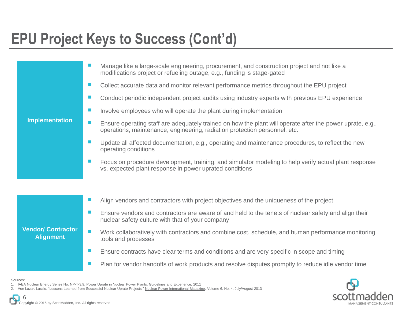## **EPU Project Keys to Success (Cont'd)**

| <b>Implementation</b>                         | Manage like a large-scale engineering, procurement, and construction project and not like a<br>modifications project or refueling outage, e.g., funding is stage-gated                  |
|-----------------------------------------------|-----------------------------------------------------------------------------------------------------------------------------------------------------------------------------------------|
|                                               | Collect accurate data and monitor relevant performance metrics throughout the EPU project                                                                                               |
|                                               | <b>The State</b><br>Conduct periodic independent project audits using industry experts with previous EPU experience                                                                     |
|                                               | Involve employees who will operate the plant during implementation<br>m.                                                                                                                |
|                                               | Ensure operating staff are adequately trained on how the plant will operate after the power uprate, e.g.,<br>operations, maintenance, engineering, radiation protection personnel, etc. |
|                                               | Update all affected documentation, e.g., operating and maintenance procedures, to reflect the new<br>operating conditions                                                               |
|                                               | Focus on procedure development, training, and simulator modeling to help verify actual plant response<br>vs. expected plant response in power uprated conditions                        |
|                                               |                                                                                                                                                                                         |
| <b>Vendor/ Contractor</b><br><b>Alignment</b> | Align vendors and contractors with project objectives and the uniqueness of the project                                                                                                 |
|                                               | $\mathcal{L}_{\mathcal{A}}$<br>Ensure vendors and contractors are aware of and held to the tenets of nuclear safety and align their<br>nuclear safety culture with that of your company |
|                                               | Work collaboratively with contractors and combine cost, schedule, and human performance monitoring<br>tools and processes                                                               |
|                                               | Ensure contracts have clear terms and conditions and are very specific in scope and timing                                                                                              |
|                                               | Plan for vendor handoffs of work products and resolve disputes promptly to reduce idle vendor time                                                                                      |

Sources:



Copyright © 2015 by ScottMadden, Inc. All rights reserved. 6

<sup>1.</sup> IAEA Nuclear Energy Series No. NP-T-3.9, Power Uprate in Nuclear Power Plants: Guidelines and Experience, 2011

<sup>2.</sup> Von Lazar, Laszlo, "Lessons Learned from Successful Nuclear Uprate Projects," Nuclear Power International Magazine, Volume 6, No. 4, July/August 2013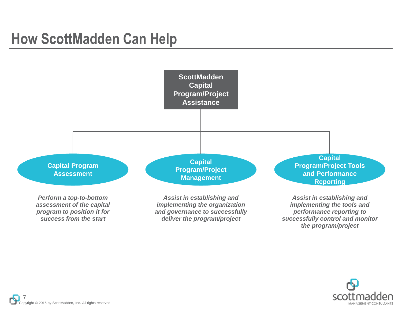#### **How ScottMadden Can Help**



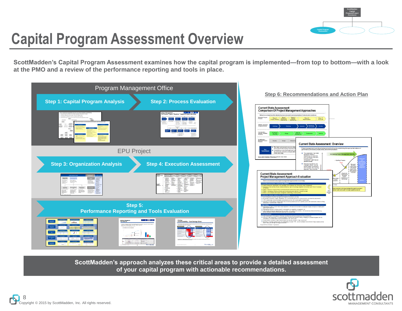

## **Capital Program Assessment Overview**

**ScottMadden's Capital Program Assessment examines how the capital program is implemented—from top to bottom—with a look at the PMO and a review of the performance reporting and tools in place.**



**Step 6: Recommendations and Action Plan**

**Current State Assessment: Overview** 

**ScottMadden's approach analyzes these critical areas to provide a detailed assessment of your capital program with actionable recommendations.**

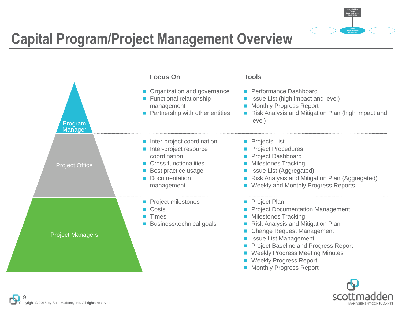

# **Capital Program/Project Management Overview**



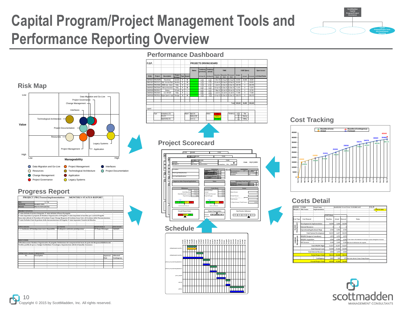# **Capital Program/Project Management Tools and Performance Reporting Overview**

**Performance Dashboard**





#### **Progress Report**





#### **Cost Tracking**



#### **Costs Detail**